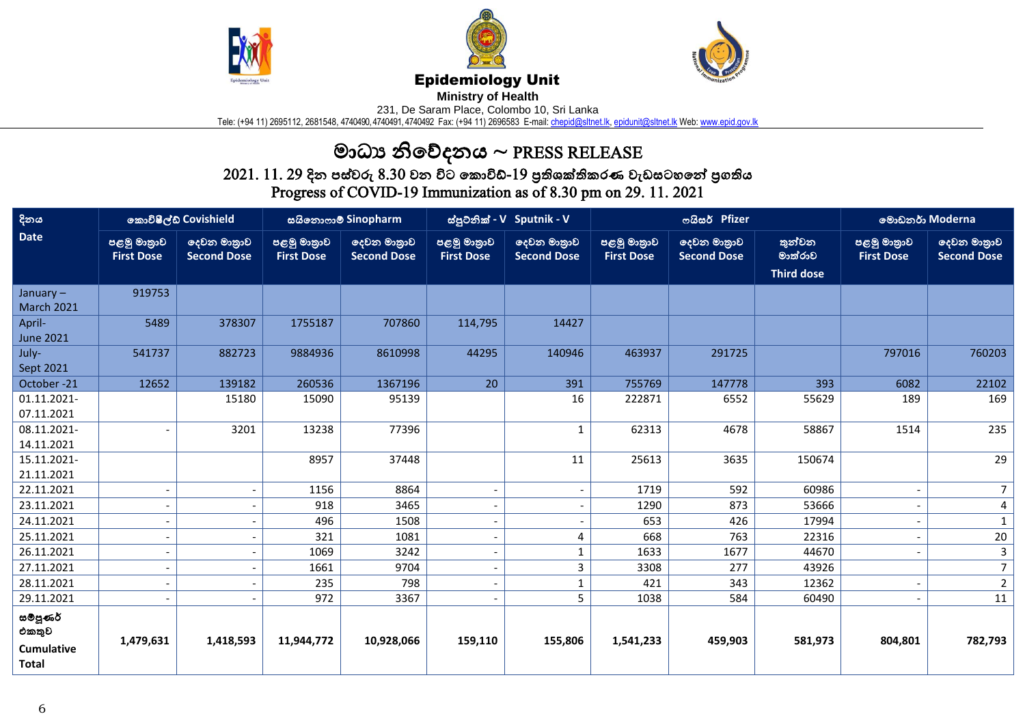





## Epidemiology Unit

**Ministry of Health** 

231, De Saram Place, Colombo 10, Sri Lanka

Tele: (+94 11) 2695112, 2681548, 4740490, 4740491, 4740492 Fax: (+94 11) 2696583 E-mail: <u>chepid@sltnet.lk, [epidunit@sltnet.lk](mailto:epidunit@sltnet.lk)</u> Web: <u>www.epid.gov.lk</u>

## මාධ්ය නිවේදනය ~ PRESS RELEASE

 $2021.\ 11.\ 29$  දින පස්වරු  $8.30$  වන විට කොවිඩ්- $19$  පුතිශක්තිකරණ වැඩසටහනේ පුගතිය Progress of COVID-19 Immunization as of 8.30 pm on 29. 11. 2021

| දිනය                                                            | කොවිෂීල්ඩ් Covishield            |                                   | සයිනොෆාම් Sinopharm              |                                   | ස්පුටනික් - V Sputnik - V        |                                   | තයිසර් Pfizer                    |                                   |                                        | මොඩනර් Moderna                   |                                   |
|-----------------------------------------------------------------|----------------------------------|-----------------------------------|----------------------------------|-----------------------------------|----------------------------------|-----------------------------------|----------------------------------|-----------------------------------|----------------------------------------|----------------------------------|-----------------------------------|
| <b>Date</b>                                                     | පළමු මාතුාව<br><b>First Dose</b> | දෙවන මාතුාව<br><b>Second Dose</b> | පළමු මාතුාව<br><b>First Dose</b> | දෙවන මාතුාව<br><b>Second Dose</b> | පළමු මාතුාව<br><b>First Dose</b> | ලදවන මාතුාව<br><b>Second Dose</b> | පළමු මාතුාව<br><b>First Dose</b> | දෙවන මාතුාව<br><b>Second Dose</b> | තුන්වන<br>මාත්රාව<br><b>Third dose</b> | පළමු මාතුාව<br><b>First Dose</b> | දෙවන මාතුාව<br><b>Second Dose</b> |
| January-<br><b>March 2021</b>                                   | 919753                           |                                   |                                  |                                   |                                  |                                   |                                  |                                   |                                        |                                  |                                   |
| April-<br><b>June 2021</b>                                      | 5489                             | 378307                            | 1755187                          | 707860                            | 114,795                          | 14427                             |                                  |                                   |                                        |                                  |                                   |
| July-<br>Sept 2021                                              | 541737                           | 882723                            | 9884936                          | 8610998                           | 44295                            | 140946                            | 463937                           | 291725                            |                                        | 797016                           | 760203                            |
| October-21                                                      | 12652                            | 139182                            | 260536                           | 1367196                           | 20                               | 391                               | 755769                           | 147778                            | 393                                    | 6082                             | 22102                             |
| 01.11.2021-<br>07.11.2021                                       |                                  | 15180                             | 15090                            | 95139                             |                                  | 16                                | 222871                           | 6552                              | 55629                                  | 189                              | 169                               |
| 08.11.2021-<br>14.11.2021                                       | $\overline{\phantom{a}}$         | 3201                              | 13238                            | 77396                             |                                  | $\mathbf{1}$                      | 62313                            | 4678                              | 58867                                  | 1514                             | 235                               |
| 15.11.2021-<br>21.11.2021                                       |                                  |                                   | 8957                             | 37448                             |                                  | 11                                | 25613                            | 3635                              | 150674                                 |                                  | 29                                |
| 22.11.2021                                                      | $\overline{\phantom{a}}$         |                                   | 1156                             | 8864                              | $\overline{\phantom{a}}$         | $\overline{\phantom{a}}$          | 1719                             | 592                               | 60986                                  |                                  | 7 <sup>1</sup>                    |
| 23.11.2021                                                      | $\blacksquare$                   |                                   | 918                              | 3465                              |                                  | $\sim$                            | 1290                             | 873                               | 53666                                  |                                  | 4                                 |
| 24.11.2021                                                      | $\overline{\phantom{a}}$         |                                   | 496                              | 1508                              | $\overline{\phantom{a}}$         | $\overline{\phantom{a}}$          | 653                              | 426                               | 17994                                  |                                  | $\mathbf{1}$                      |
| 25.11.2021                                                      | $\blacksquare$                   |                                   | 321                              | 1081                              |                                  | 4                                 | 668                              | 763                               | 22316                                  |                                  | $20\,$                            |
| 26.11.2021                                                      | $\overline{\phantom{a}}$         |                                   | 1069                             | 3242                              | $\overline{\phantom{a}}$         | $\mathbf{1}$                      | 1633                             | 1677                              | 44670                                  |                                  | $\overline{3}$                    |
| 27.11.2021                                                      | $\overline{\phantom{a}}$         |                                   | 1661                             | 9704                              |                                  | 3                                 | 3308                             | 277                               | 43926                                  |                                  | $\overline{7}$                    |
| 28.11.2021                                                      | $\overline{\phantom{m}}$         |                                   | 235                              | 798                               | $\overline{\phantom{a}}$         | $\mathbf{1}$                      | 421                              | 343                               | 12362                                  |                                  | $\overline{2}$                    |
| 29.11.2021                                                      |                                  |                                   | 972                              | 3367                              |                                  | 5 <sup>1</sup>                    | 1038                             | 584                               | 60490                                  |                                  | 11                                |
| ස <b>ම්පූ</b> ණර්<br>එකතුව<br><b>Cumulative</b><br><b>Total</b> | 1,479,631                        | 1,418,593                         | 11,944,772                       | 10,928,066                        | 159,110                          | 155,806                           | 1,541,233                        | 459,903                           | 581,973                                | 804,801                          | 782,793                           |